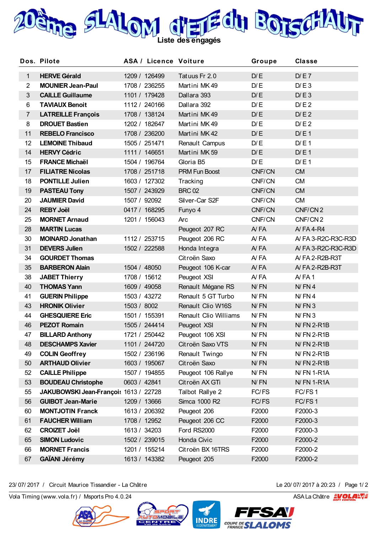

|                | Dos. Pilote                           | <b>ASA / Licence Voiture</b> |                       | Groupe     | <b>Classe</b>       |
|----------------|---------------------------------------|------------------------------|-----------------------|------------|---------------------|
| $\mathbf{1}$   | <b>HERVE Gérald</b>                   | 1209 / 126499                | Tatuus Fr 2.0         | D/E        | D/E7                |
| $\overline{2}$ | <b>MOUNIER Jean-Paul</b>              | 1708 / 236255                | Martini MK49          | D/E        | D/E3                |
| $\mathfrak{S}$ | <b>CAILLE Guillaume</b>               | 1101 / 179428                | Dallara 393           | D/E        | D/E3                |
| 6              | <b>TAVIAUX Benoit</b>                 | 1112 / 240166                | Dallara 392           | D/E        | D/E2                |
| $\overline{7}$ | <b>LATREILLE François</b>             | 1708 / 138124                | Martini MK49          | D/E        | D/E2                |
| 8              | <b>DROUET Bastien</b>                 | 1202 / 182647                | Martini MK49          | D/E        | D/E2                |
| 11             | <b>REBELO Francisco</b>               | 1708 / 236200                | Martini MK 42         | D/E        | D/E1                |
| 12             | <b>LEMOINE Thibaud</b>                | 1505 / 251471                | Renault Campus        | D/E        | D/E1                |
| 14             | <b>HERVY Cédric</b>                   | 1111 / 146651                | Martini MK 59         | D/E        | D/E1                |
| 15             | <b>FRANCE Michaël</b>                 | 1504 / 196764                | Gloria B5             | D/E        | D/E1                |
| 17             | <b>FILIATRE Nicolas</b>               | 1708 / 251718                | <b>PRM Fun Boost</b>  | CNF/CN     | <b>CM</b>           |
| 18             | <b>PONTILLE Julien</b>                | 1603 / 127302                | Tracking              | CNF/CN     | <b>CM</b>           |
| 19             | <b>PASTEAU Tony</b>                   | 1507 / 243929                | <b>BRC 02</b>         | CNF/CN     | <b>CM</b>           |
| 20             | <b>JAUMIER David</b>                  | 1507 / 92092                 | Silver-Car S2F        | CNF/CN     | <b>CM</b>           |
| 24             | <b>REBY Joël</b>                      | 0417 / 168295                | Funyo 4               | CNF/CN     | CNF/CN <sub>2</sub> |
| 25             | <b>MORNET Arnaud</b>                  | 1201 / 156043                | Arc                   | CNF/CN     | CNF/CN <sub>2</sub> |
| 28             | <b>MARTIN Lucas</b>                   |                              | Peugeot 207 RC        | AYFA       | A/FA4-R4            |
| 30             | <b>MOINARD Jonathan</b>               | 1112 / 253715                | Peugeot 206 RC        | A/FA       | A/FA 3-R2C-R3C-R3D  |
| 31             | <b>DEVERS Julien</b>                  | 1502 / 222588                | Honda Integra         | AYFA       | A/FA 3-R2C-R3C-R3D  |
| 34             | <b>GOURDET Thomas</b>                 |                              | Citroën Saxo          | A/FA       | A/FA 2-R2B-R3T      |
| 35             | <b>BARBERON Alain</b>                 | 1504 / 48050                 | Peugeot 106 K-car     | AYFA       | A/FA 2-R2B-R3T      |
| 38             | <b>JABET Thierry</b>                  | 1708 / 15612                 | Peugeot XSI           | A/FA       | AYFA1               |
| 40             | <b>THOMAS Yann</b>                    | 1609 / 49058                 | Renault Mégane RS     | N/FN       | $N$ / $FN$ 4        |
| 41             | <b>GUERIN Philippe</b>                | 1503 / 43272                 | Renault 5 GT Turbo    | N/FN       | N/FN4               |
| 43             | <b>HRONIK Olivier</b>                 | 1503 / 8002                  | Renault Clio W16S     | N/FN       | $N$ / $FN$ 3        |
| 44             | <b>GHESQUIERE Eric</b>                | 1501 / 155391                | Renault Clio Williams | N/FN       | $N$ / $FN$ 3        |
| 46             | <b>PEZOT Romain</b>                   | 1505 / 244414                | Peugeot XSI           | N/FN       | $N$ FN 2-R1B        |
| 47             | <b>BILLARD Anthony</b>                | 1721 / 250442                | Peugeot 106 XSI       | N/FN       | <b>N/FN 2-R1B</b>   |
| 48             | <b>DESCHAMPS Xavier</b>               | 1101 / 244720                | Citroën Saxo VTS      | $N$ / $FN$ | <b>N/FN 2-R1B</b>   |
| 49             | <b>COLIN Geoffrey</b>                 | 1502 / 236196                | Renault Twingo        | N/FN       | $N$ FN 2-R1B        |
| 50             | <b>ARTHAUD Olivier</b>                | 1603 / 195067                | Citroën Saxo          | $N$ / $FN$ | $N$ FN 2-R1B        |
| 52             | <b>CAILLE Philippe</b>                | 1507 / 194855                | Peugeot 106 Rallye    | N/FN       | <b>N/FN 1-R1A</b>   |
| 53             | <b>BOUDEAU Christophe</b>             | 0603 / 42841                 | Citroën AX GTi        | $N$ / $FN$ | <b>N/FN 1-R1A</b>   |
| 55             | JAKUBOWSKI Jean-Françoi: 1613 / 22728 |                              | Talbot Rallye 2       | FC/FS      | FC/FS1              |
| 56             | <b>GUIBOT Jean-Marie</b>              | 1209 / 13666                 | Simca 1000 R2         | FC/FS      | FC/FS1              |
| 60             | <b>MONTJOTIN Franck</b>               | 1613 / 206392                | Peugeot 206           | F2000      | F2000-3             |
| 61             | <b>FAUCHER William</b>                | 1708 / 12952                 | Peugeot 206 CC        | F2000      | F2000-3             |
| 62             | <b>CROIZET Joël</b>                   | 1613 / 34203                 | Ford RS2000           | F2000      | F2000-3             |
| 65             | <b>SIMON Ludovic</b>                  | 1502 / 239015                | Honda Civic           | F2000      | F2000-2             |
| 66             | <b>MORNET Francis</b>                 | 1201 / 155214                | Citroën BX 16TRS      | F2000      | F2000-2             |
| 67             | <b>GAÏANI Jérémy</b>                  | 1613 / 143382                | Peugeot 205           | F2000      | F2000-2             |
|                |                                       |                              |                       |            |                     |

23/ 07/ 2017 / Circuit Maurice Tissandier - La Châtre Le 20/ 07/ 2017 à 20:23 /<br>Vola Timing (www.vola.fr) / Msports Pro 4.0.24 ASA La Châtre E 23/ 07/ 2017 / Circuit Maurice Tissandier - La Châtre Le 20/ 07/ 2017 à 20:23 / Page 1/ 2





**INDRE** 

COUPE DESLALOMS